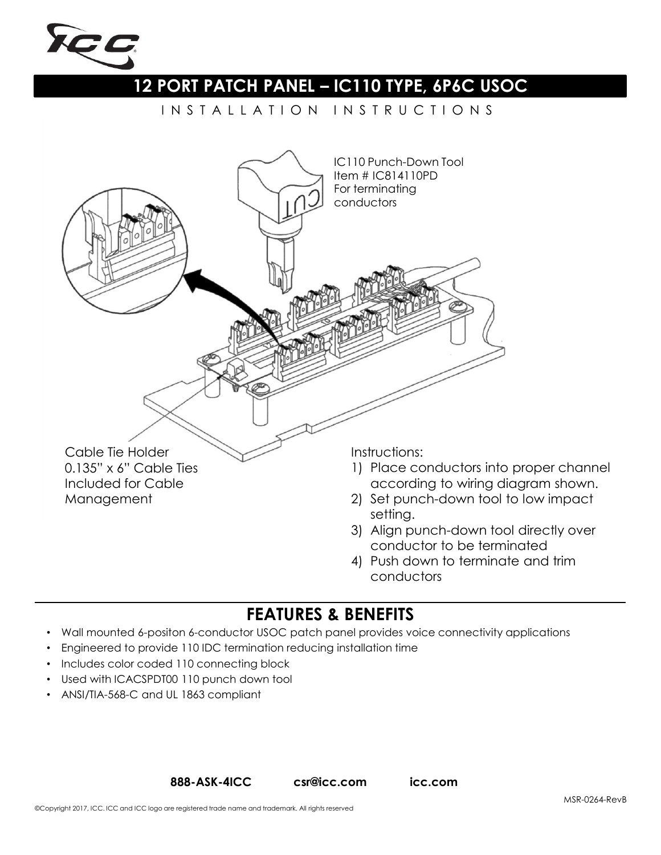

## **12 PORT PATCH PANEL – IC110 TYPE, 6P6C USOC**

I N S T A L L A T I O N I N S T R U C T I O N S



4) Push down to terminate and trim conductors

## **FEATURES & BENEFITS**

- Wall mounted 6-positon 6-conductor USOC patch panel provides voice connectivity applications
- Engineered to provide 110 IDC termination reducing installation time
- Includes color coded 110 connecting block
- Used with ICACSPDT00 110 punch down tool
- ANSI/TIA-568-C and UL 1863 compliant

**888-ASK-4ICC csr@icc.com icc.com**